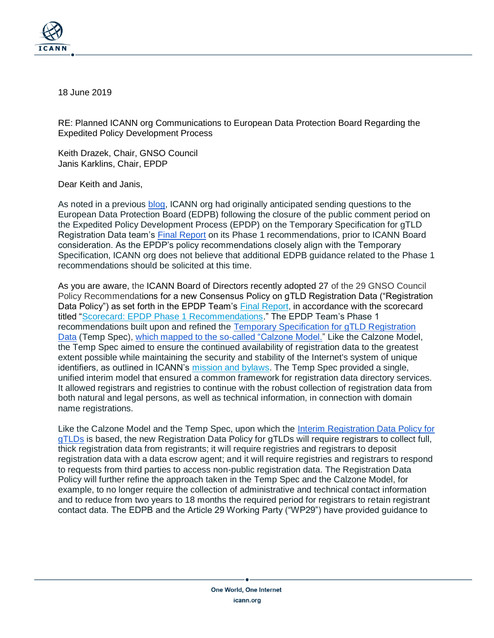

18 June 2019

RE: Planned ICANN org Communications to European Data Protection Board Regarding the Expedited Policy Development Process

Keith Drazek, Chair, GNSO Council Janis Karklins, Chair, EPDP

Dear Keith and Janis,

As noted in a previous [blog,](https://www.icann.org/news/blog/next-steps-for-the-technical-study-group-epdp) ICANN org had originally anticipated sending questions to the European Data Protection Board (EDPB) following the closure of the public comment period on the Expedited Policy Development Process (EPDP) on the Temporary Specification for gTLD Registration Data team's [Final Report](https://gnso.icann.org/sites/default/files/file/field-file-attach/epdp-gtld-registration-data-specs-final-20feb19-en.pdf) on its Phase 1 recommendations, prior to ICANN Board consideration. As the EPDP's policy recommendations closely align with the Temporary Specification, ICANN org does not believe that additional EDPB guidance related to the Phase 1 recommendations should be solicited at this time.

As you are aware, the ICANN Board of Directors recently adopted 27 of the 29 GNSO Council Policy Recommendations for a new Consensus Policy on gTLD Registration Data ("Registration Data Policy") as set forth in the EPDP Team's [Final Report,](https://gnso.icann.org/en/drafts/epdp-gtld-registration-data-specs-final-20feb19-en.pdf) in accordance with the scorecard titled ["Scorecard: EPDP Phase 1 Recommendations.](https://www.icann.org/en/system/files/files/epdp-scorecard-15may19-en.pdf)" The EPDP Team's Phase 1 recommendations built upon and refined the [Temporary Specification for gTLD Registration](https://www.icann.org/resources/pages/gtld-registration-data-specs-en)  [Data](https://www.icann.org/resources/pages/gtld-registration-data-specs-en) (Temp Spec), [which mapped to the so-called "Calzone Model."](https://www.icann.org/en/system/files/files/calzone-model-temporary-spec-requirements-comparison-17may18-en.pdf) Like the Calzone Model, the Temp Spec aimed to ensure the continued availability of registration data to the greatest extent possible while maintaining the security and stability of the Internet's system of unique identifiers, as outlined in ICANN's [mission and bylaws.](https://www.icann.org/resources/pages/governance/bylaws-en) The Temp Spec provided a single, unified interim model that ensured a common framework for registration data directory services. It allowed registrars and registries to continue with the robust collection of registration data from both natural and legal persons, as well as technical information, in connection with domain name registrations.

Like the Calzone Model and the Temp Spec, upon which the [Interim Registration Data Policy for](https://www.icann.org/resources/pages/interim-registration-data-policy-en)  [gTLDs](https://www.icann.org/resources/pages/interim-registration-data-policy-en) is based, the new Registration Data Policy for gTLDs will require registrars to collect full, thick registration data from registrants; it will require registries and registrars to deposit registration data with a data escrow agent; and it will require registries and registrars to respond to requests from third parties to access non-public registration data. The Registration Data Policy will further refine the approach taken in the Temp Spec and the Calzone Model, for example, to no longer require the collection of administrative and technical contact information and to reduce from two years to 18 months the required period for registrars to retain registrant contact data. The EDPB and the Article 29 Working Party ("WP29") have provided guidance to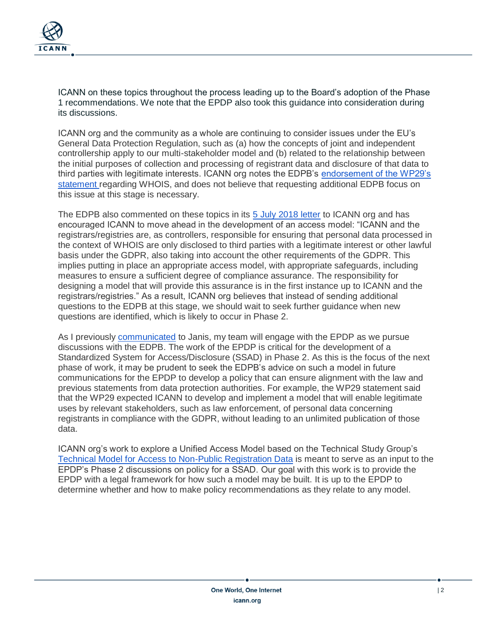

ICANN on these topics throughout the process leading up to the Board's adoption of the Phase 1 recommendations. We note that the EPDP also took this guidance into consideration during its discussions.

ICANN org and the community as a whole are continuing to consider issues under the EU's General Data Protection Regulation, such as (a) how the concepts of joint and independent controllership apply to our multi-stakeholder model and (b) related to the relationship between the initial purposes of collection and processing of registrant data and disclosure of that data to third parties with legitimate interests. ICANN org notes the EDPB's [endorsement of the WP29's](https://www.icann.org/en/system/files/files/statement-edpb-whois-27may18-en.pdf)  [statement r](https://www.icann.org/en/system/files/files/statement-edpb-whois-27may18-en.pdf)egarding WHOIS, and does not believe that requesting additional EDPB focus on this issue at this stage is necessary.

The EDPB also commented on these topics in its [5 July 2018 letter](https://www.icann.org/en/system/files/correspondence/jelinek-to-marby-05jul18-en.pdf) to ICANN org and has encouraged ICANN to move ahead in the development of an access model: "ICANN and the registrars/registries are, as controllers, responsible for ensuring that personal data processed in the context of WHOIS are only disclosed to third parties with a legitimate interest or other lawful basis under the GDPR, also taking into account the other requirements of the GDPR. This implies putting in place an appropriate access model, with appropriate safeguards, including measures to ensure a sufficient degree of compliance assurance. The responsibility for designing a model that will provide this assurance is in the first instance up to ICANN and the registrars/registries." As a result, ICANN org believes that instead of sending additional questions to the EDPB at this stage, we should wait to seek further guidance when new questions are identified, which is likely to occur in Phase 2.

As I previously [communicated](https://www.icann.org/en/system/files/correspondence/marby-to-karklins-16may19-en.pdf) to Janis, my team will engage with the EPDP as we pursue discussions with the EDPB. The work of the EPDP is critical for the development of a Standardized System for Access/Disclosure (SSAD) in Phase 2. As this is the focus of the next phase of work, it may be prudent to seek the EDPB's advice on such a model in future communications for the EPDP to develop a policy that can ensure alignment with the law and previous statements from data protection authorities. For example, the WP29 statement said that the WP29 expected ICANN to develop and implement a model that will enable legitimate uses by relevant stakeholders, such as law enforcement, of personal data concerning registrants in compliance with the GDPR, without leading to an unlimited publication of those data.

ICANN org's work to explore a Unified Access Model based on the Technical Study Group's [Technical Model for Access to Non-Public Registration Data](https://www.icann.org/en/system/files/files/technical-model-access-non-public-registration-data-30apr19-en.pdf) is meant to serve as an input to the EPDP's Phase 2 discussions on policy for a SSAD. Our goal with this work is to provide the EPDP with a legal framework for how such a model may be built. It is up to the EPDP to determine whether and how to make policy recommendations as they relate to any model.